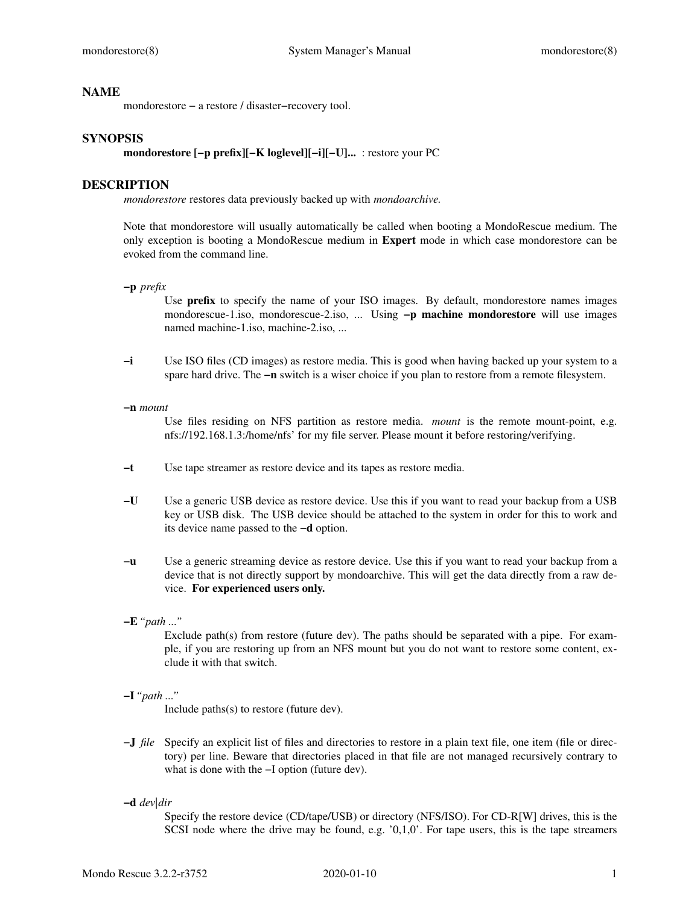### **NAME**

mondorestore − a restore / disaster−recovery tool.

## **SYNOPSIS**

**mondorestore [−p prefix][−K loglevel][−i][−U]...** : restore your PC

## **DESCRIPTION**

*mondorestore* restores data previously backed up with *mondoarchive.*

Note that mondorestore will usually automatically be called when booting a MondoRescue medium. The only exception is booting a MondoRescue medium in **Expert** mode in which case mondorestore can be evoked from the command line.

**−p** *prefix*

Use **prefix** to specify the name of your ISO images. By default, mondorestore names images mondorescue-1.iso, mondorescue-2.iso, ... Using **−p machine mondorestore** will use images named machine-1.iso, machine-2.iso, ...

- **−i** Use ISO files (CD images) as restore media. This is good when having backed up your system to a spare hard drive. The **−n** switch is a wiser choice if you plan to restore from a remote filesystem.
- **−n** *mount*

Use files residing on NFS partition as restore media. *mount* is the remote mount-point, e.g. nfs://192.168.1.3:/home/nfs' for my file server. Please mount it before restoring/verifying.

- **−t** Use tape streamer as restore device and its tapes as restore media.
- **−U** Use a generic USB device as restore device. Use this if you want to read your backup from a USB key or USB disk. The USB device should be attached to the system in order for this to work and its device name passed to the **−d** option.
- **−u** Use a generic streaming device as restore device. Use this if you want to read your backup from a device that is not directly support by mondoarchive. This will get the data directly from a raw device. **For experienced users only.**
- **−E***"path ..."*

Exclude path(s) from restore (future dev). The paths should be separated with a pipe. For example, if you are restoring up from an NFS mount but you do not want to restore some content, exclude it with that switch.

**−I***"path ..."*

Include paths(s) to restore (future dev).

- **−J** *file* Specify an explicit list of files and directories to restore in a plain text file, one item (file or directory) per line. Beware that directories placed in that file are not managed recursively contrary to what is done with the −I option (future dev).
- **−d** *dev|dir*

Specify the restore device (CD/tape/USB) or directory (NFS/ISO). For CD-R[W] drives, this is the SCSI node where the drive may be found, e.g.  $'0,1,0'$ . For tape users, this is the tape streamers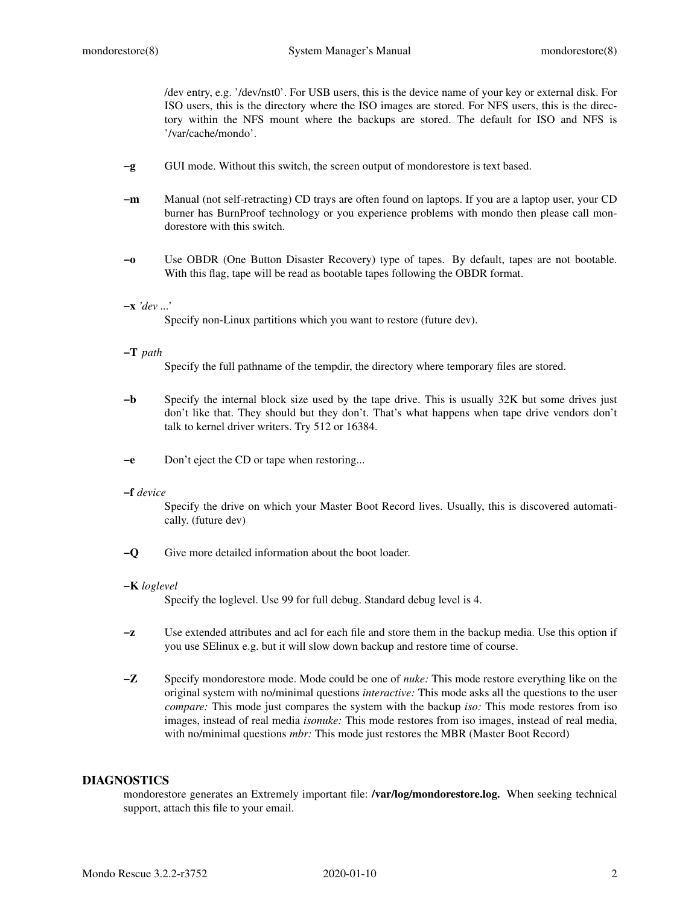/dev entry, e.g. '/dev/nst0'. For USB users, this is the device name of your key or external disk. For ISO users, this is the directory where the ISO images are stored. For NFS users, this is the directory within the NFS mount where the backups are stored. The default for ISO and NFS is '/var/cache/mondo'.

- **−g** GUI mode. Without this switch, the screen output of mondorestore is text based.
- **−m** Manual (not self-retracting) CD trays are often found on laptops. If you are a laptop user, your CD burner has BurnProof technology or you experience problems with mondo then please call mondorestore with this switch.
- **−o** Use OBDR (One Button Disaster Recovery) type of tapes. By default, tapes are not bootable. With this flag, tape will be read as bootable tapes following the OBDR format.

### **−x** *'dev ...'*

Specify non-Linux partitions which you want to restore (future dev).

## **−T** *path*

Specify the full pathname of the tempdir, the directory where temporary files are stored.

- **−b** Specify the internal block size used by the tape drive. This is usually 32K but some drives just don't like that. They should but they don't. That's what happens when tape drive vendors don't talk to kernel driver writers. Try 512 or 16384.
- **−e** Don't eject the CD or tape when restoring...

#### **−f** *device*

Specify the drive on which your Master Boot Record lives. Usually, this is discovered automatically. (future dev)

**−Q** Give more detailed information about the boot loader.

### **−K** *loglevel*

Specify the loglevel. Use 99 for full debug. Standard debug level is 4.

- **−z** Use extended attributes and acl for each file and store them in the backup media. Use this option if you use SElinux e.g. but it will slow down backup and restore time of course.
- **−Z** Specify mondorestore mode. Mode could be one of *nuke:* This mode restore everything like on the original system with no/minimal questions *interactive:* This mode asks all the questions to the user *compare:* This mode just compares the system with the backup *iso:* This mode restores from iso images, instead of real media *isonuke:* This mode restores from iso images, instead of real media, with no/minimal questions *mbr:* This mode just restores the MBR (Master Boot Record)

# **DIAGNOSTICS**

mondorestore generates an Extremely important file: **/var/log/mondorestore.log.** When seeking technical support, attach this file to your email.